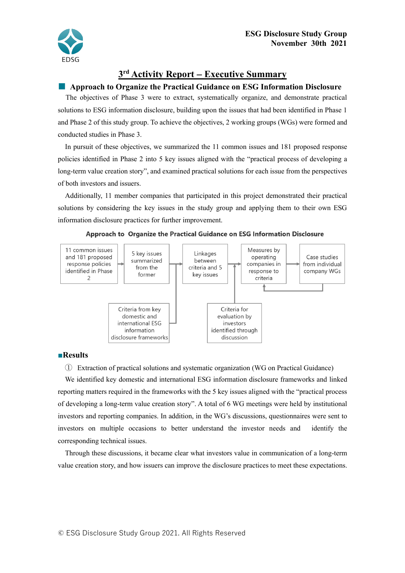

# **3 rd Activity Report** − **Executive Summary**

## ■ **Approach to Organize the Practical Guidance on ESG Information Disclosure**

The objectives of Phase 3 were to extract, systematically organize, and demonstrate practical solutions to ESG information disclosure, building upon the issues that had been identified in Phase 1 and Phase 2 of this study group. To achieve the objectives, 2 working groups (WGs) were formed and conducted studies in Phase 3.

In pursuit of these objectives, we summarized the 11 common issues and 181 proposed response policies identified in Phase 2 into 5 key issues aligned with the "practical process of developing a long-term value creation story", and examined practical solutions for each issue from the perspectives of both investors and issuers.

Additionally, 11 member companies that participated in this project demonstrated their practical solutions by considering the key issues in the study group and applying them to their own ESG information disclosure practices for further improvement.





### **■Results**

① Extraction of practical solutions and systematic organization (WG on Practical Guidance) We identified key domestic and international ESG information disclosure frameworks and linked reporting matters required in the frameworks with the 5 key issues aligned with the "practical process of developing a long-term value creation story". A total of 6 WG meetings were held by institutional investors and reporting companies. In addition, in the WG's discussions, questionnaires were sent to investors on multiple occasions to better understand the investor needs and identify the corresponding technical issues.

Through these discussions, it became clear what investors value in communication of a long-term value creation story, and how issuers can improve the disclosure practices to meet these expectations.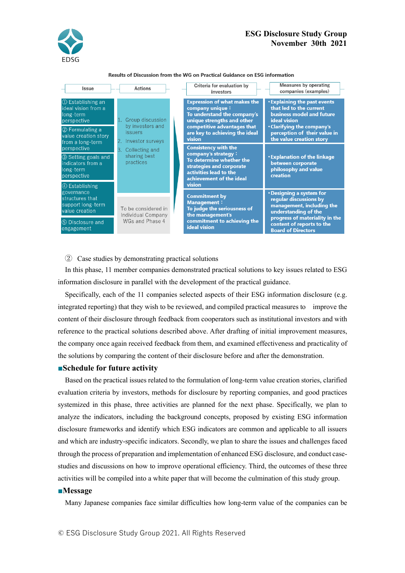

| Results of Discussion from the WG on Practical Guidance on ESG information |  |
|----------------------------------------------------------------------------|--|
|----------------------------------------------------------------------------|--|

| Issue                                                                | Actions                                                   | Criteria for evaluation by<br>investors                                                                             | <b>Measures by operating</b><br>companies (examples)                                                               |
|----------------------------------------------------------------------|-----------------------------------------------------------|---------------------------------------------------------------------------------------------------------------------|--------------------------------------------------------------------------------------------------------------------|
| ① Establishing an<br>ideal vision from a<br>long-term<br>perspective | 1. Group discussion                                       | <b>Expression of what makes the</b><br>company unique:<br>To understand the company's<br>unique strengths and other | <b>.</b> Explaining the past events<br>that led to the current<br>business model and future<br><b>ideal</b> vision |
| 2 Formulating a<br>value creation story<br>from a long-term          | by investors and<br><i>issuers</i><br>2. Investor surveys | competitive advantages that<br>are key to achieving the ideal<br>vision                                             | <b>. Clarifying the company's</b><br>perception of their value in<br>the value creation story                      |
| perspective                                                          | 3. Collecting and                                         | <b>Consistency with the</b><br>company's strategy:                                                                  |                                                                                                                    |
| 3 Setting goals and<br>indicators from a<br>long-term<br>perspective | sharing best<br>practices                                 | To determine whether the<br>strategies and corporate<br>activities lead to the<br>achievement of the ideal          | <b>.</b> Explanation of the linkage<br>between corporate<br>philosophy and value<br>creation                       |
| 4 Establishing                                                       |                                                           | vision                                                                                                              |                                                                                                                    |
| governance<br>structures that<br>support long-term<br>value creation | To be considered in<br>Individual Company                 | <b>Commitment by</b><br><b>Management:</b><br>To judge the seriousness of<br>the management's                       | <b>. Designing a system for</b><br>regular discussions by<br>management, including the<br>understanding of the     |
| 5 Disclosure and<br>engagement                                       | WGs and Phase 4                                           | commitment to achieving the<br><b>ideal</b> vision                                                                  | progress of materiality in the<br>content of reports to the<br><b>Board of Directors</b>                           |

② Case studies by demonstrating practical solutions

In this phase, 11 member companies demonstrated practical solutions to key issues related to ESG information disclosure in parallel with the development of the practical guidance.

Specifically, each of the 11 companies selected aspects of their ESG information disclosure (e.g. integrated reporting) that they wish to be reviewed, and compiled practical measures to improve the content of their disclosure through feedback from cooperators such as institutional investors and with reference to the practical solutions described above. After drafting of initial improvement measures, the company once again received feedback from them, and examined effectiveness and practicality of the solutions by comparing the content of their disclosure before and after the demonstration.

#### **■Schedule for future activity**

Based on the practical issues related to the formulation of long-term value creation stories, clarified evaluation criteria by investors, methods for disclosure by reporting companies, and good practices systemized in this phase, three activities are planned for the next phase. Specifically, we plan to analyze the indicators, including the background concepts, proposed by existing ESG information disclosure frameworks and identify which ESG indicators are common and applicable to all issuers and which are industry-specific indicators. Secondly, we plan to share the issues and challenges faced through the process of preparation and implementation of enhanced ESG disclosure, and conduct casestudies and discussions on how to improve operational efficiency. Third, the outcomes of these three activities will be compiled into a white paper that will become the culmination of this study group.

#### **■Message**

Many Japanese companies face similar difficulties how long-term value of the companies can be